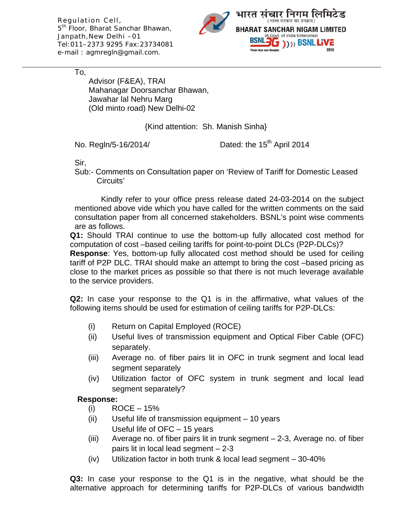Regulation Cell, 5<sup>th</sup> Floor, Bharat Sanchar Bhawan, Janpath,New Delhi –01 Tel:011–2373 9295 Fax:23734081 e-mail : agmregln@gmail.com.



To,

Advisor (F&EA), TRAI Mahanagar Doorsanchar Bhawan, Jawahar lal Nehru Marg (Old minto road) New Delhi-02

{Kind attention: Sh. Manish Sinha}

No. Regln/5-16/2014/ Dated: the  $15<sup>th</sup>$  April 2014

Sir,

Sub:- Comments on Consultation paper on 'Review of Tariff for Domestic Leased Circuits'

 Kindly refer to your office press release dated 24-03-2014 on the subject mentioned above vide which you have called for the written comments on the said consultation paper from all concerned stakeholders. BSNL's point wise comments are as follows.

**Q1:** Should TRAI continue to use the bottom-up fully allocated cost method for computation of cost –based ceiling tariffs for point-to-point DLCs (P2P-DLCs)?

**Response**: Yes, bottom-up fully allocated cost method should be used for ceiling tariff of P2P DLC. TRAI should make an attempt to bring the cost –based pricing as close to the market prices as possible so that there is not much leverage available to the service providers.

**Q2:** In case your response to the Q1 is in the affirmative, what values of the following items should be used for estimation of ceiling tariffs for P2P-DLCs:

- (i) Return on Capital Employed (ROCE)
- (ii) Useful lives of transmission equipment and Optical Fiber Cable (OFC) separately.
- (iii) Average no. of fiber pairs lit in OFC in trunk segment and local lead segment separately
- (iv) Utilization factor of OFC system in trunk segment and local lead segment separately?

## **Response:**

- $(i) \qquad \text{ROCE} 15\%$
- (ii) Useful life of transmission equipment 10 years Useful life of OFC – 15 years
- (iii) Average no. of fiber pairs lit in trunk segment 2-3, Average no. of fiber pairs lit in local lead segment – 2-3
- (iv) Utilization factor in both trunk & local lead segment 30-40%

**Q3:** In case your response to the Q1 is in the negative, what should be the alternative approach for determining tariffs for P2P-DLCs of various bandwidth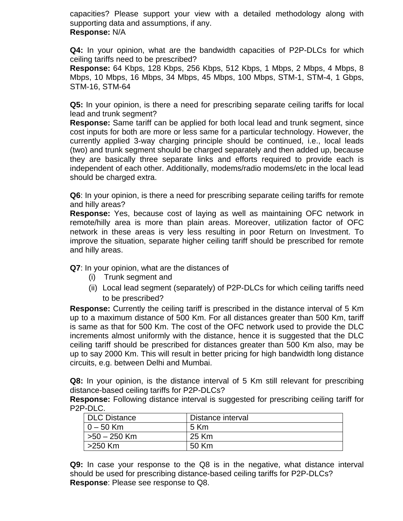capacities? Please support your view with a detailed methodology along with supporting data and assumptions, if any. **Response:** N/A

**Q4:** In your opinion, what are the bandwidth capacities of P2P-DLCs for which ceiling tariffs need to be prescribed?

**Response:** 64 Kbps, 128 Kbps, 256 Kbps, 512 Kbps, 1 Mbps, 2 Mbps, 4 Mbps, 8 Mbps, 10 Mbps, 16 Mbps, 34 Mbps, 45 Mbps, 100 Mbps, STM-1, STM-4, 1 Gbps, STM-16, STM-64

**Q5:** In your opinion, is there a need for prescribing separate ceiling tariffs for local lead and trunk segment?

**Response:** Same tariff can be applied for both local lead and trunk segment, since cost inputs for both are more or less same for a particular technology. However, the currently applied 3-way charging principle should be continued, i.e., local leads (two) and trunk segment should be charged separately and then added up, because they are basically three separate links and efforts required to provide each is independent of each other. Additionally, modems/radio modems/etc in the local lead should be charged extra.

**Q6**: In your opinion, is there a need for prescribing separate ceiling tariffs for remote and hilly areas?

**Response:** Yes, because cost of laying as well as maintaining OFC network in remote/hilly area is more than plain areas. Moreover, utilization factor of OFC network in these areas is very less resulting in poor Return on Investment. To improve the situation, separate higher ceiling tariff should be prescribed for remote and hilly areas.

**Q7**: In your opinion, what are the distances of

- (i) Trunk segment and
- (ii) Local lead segment (separately) of P2P-DLCs for which ceiling tariffs need to be prescribed?

**Response:** Currently the ceiling tariff is prescribed in the distance interval of 5 Km up to a maximum distance of 500 Km. For all distances greater than 500 Km, tariff is same as that for 500 Km. The cost of the OFC network used to provide the DLC increments almost uniformly with the distance, hence it is suggested that the DLC ceiling tariff should be prescribed for distances greater than 500 Km also, may be up to say 2000 Km. This will result in better pricing for high bandwidth long distance circuits, e.g. between Delhi and Mumbai.

**Q8:** In your opinion, is the distance interval of 5 Km still relevant for prescribing distance-based ceiling tariffs for P2P-DLCs?

**Response:** Following distance interval is suggested for prescribing ceiling tariff for P2P-DLC.

| <b>DLC Distance</b> | Distance interval |
|---------------------|-------------------|
| $0 - 50$ Km         | 5 Km              |
| $>50 - 250$ Km      | 25 Km             |
| >250 Km             | 50 Km             |

**Q9:** In case your response to the Q8 is in the negative, what distance interval should be used for prescribing distance-based ceiling tariffs for P2P-DLCs? **Response**: Please see response to Q8.